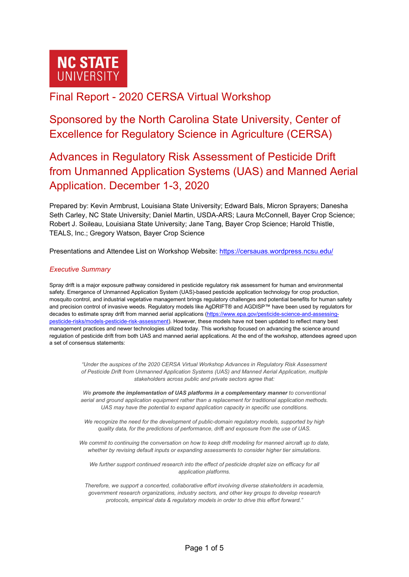

# Final Report - 2020 CERSA Virtual Workshop

Sponsored by the North Carolina State University, Center of Excellence for Regulatory Science in Agriculture (CERSA)

# Advances in Regulatory Risk Assessment of Pesticide Drift from Unmanned Application Systems (UAS) and Manned Aerial Application. December 1-3, 2020

Prepared by: Kevin Armbrust, Louisiana State University; Edward Bals, Micron Sprayers; Danesha Seth Carley, NC State University; Daniel Martin, USDA-ARS; Laura McConnell, Bayer Crop Science; Robert J. Soileau, Louisiana State University; Jane Tang, Bayer Crop Science; Harold Thistle, TEALS, Inc.; Gregory Watson, Bayer Crop Science

Presentations and Attendee List on Workshop Website: <https://cersauas.wordpress.ncsu.edu/>

## *Executive Summary*

Spray drift is a major exposure pathway considered in pesticide regulatory risk assessment for human and environmental safety. Emergence of Unmanned Application System (UAS)-based pesticide application technology for crop production, mosquito control, and industrial vegetative management brings regulatory challenges and potential benefits for human safety and precision control of invasive weeds. Regulatory models like AgDRIFT® and AGDISP™ have been used by regulators for decades to estimate spray drift from manned aerial applications [\(https://www.epa.gov/pesticide-science-and-assessing](https://www.epa.gov/pesticide-science-and-assessing-pesticide-risks/models-pesticide-risk-assessment)[pesticide-risks/models-pesticide-risk-assessment\)](https://www.epa.gov/pesticide-science-and-assessing-pesticide-risks/models-pesticide-risk-assessment). However, these models have not been updated to reflect many best management practices and newer technologies utilized today. This workshop focused on advancing the science around regulation of pesticide drift from both UAS and manned aerial applications. At the end of the workshop, attendees agreed upon a set of consensus statements:

> *"Under the auspices of the 2020 CERSA Virtual Workshop Advances in Regulatory Risk Assessment of Pesticide Drift from Unmanned Application Systems (UAS) and Manned Aerial Application, multiple stakeholders across public and private sectors agree that:*

> *We promote the implementation of UAS platforms in a complementary manner to conventional aerial and ground application equipment rather than a replacement for traditional application methods. UAS may have the potential to expand application capacity in specific use conditions.*

*We recognize the need for the development of public-domain regulatory models, supported by high quality data, for the predictions of performance, drift and exposure from the use of UAS.*

*We commit to continuing the conversation on how to keep drift modeling for manned aircraft up to date, whether by revising default inputs or expanding assessments to consider higher tier simulations.*

*We further support continued research into the effect of pesticide droplet size on efficacy for all application platforms.*

*Therefore, we support a concerted, collaborative effort involving diverse stakeholders in academia, government research organizations, industry sectors, and other key groups to develop research protocols, empirical data & regulatory models in order to drive this effort forward."*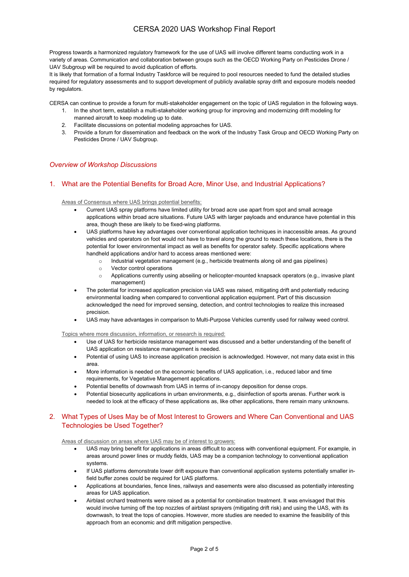# CERSA 2020 UAS Workshop Final Report

Progress towards a harmonized regulatory framework for the use of UAS will involve different teams conducting work in a variety of areas. Communication and collaboration between groups such as the OECD Working Party on Pesticides Drone / UAV Subgroup will be required to avoid duplication of efforts.

It is likely that formation of a formal Industry Taskforce will be required to pool resources needed to fund the detailed studies required for regulatory assessments and to support development of publicly available spray drift and exposure models needed by regulators.

CERSA can continue to provide a forum for multi-stakeholder engagement on the topic of UAS regulation in the following ways.

- 1. In the short term, establish a multi-stakeholder working group for improving and modernizing drift modeling for manned aircraft to keep modeling up to date.
- 2. Facilitate discussions on potential modeling approaches for UAS.
- 3. Provide a forum for dissemination and feedback on the work of the Industry Task Group and OECD Working Party on Pesticides Drone / UAV Subgroup.

## *Overview of Workshop Discussions*

## 1. What are the Potential Benefits for Broad Acre, Minor Use, and Industrial Applications?

Areas of Consensus where UAS brings potential benefits:

- Current UAS spray platforms have limited utility for broad acre use apart from spot and small acreage applications within broad acre situations. Future UAS with larger payloads and endurance have potential in this area, though these are likely to be fixed-wing platforms.
- UAS platforms have key advantages over conventional application techniques in inaccessible areas. As ground vehicles and operators on foot would not have to travel along the ground to reach these locations, there is the potential for lower environmental impact as well as benefits for operator safety. Specific applications where handheld applications and/or hard to access areas mentioned were:
	- o Industrial vegetation management (e.g., herbicide treatments along oil and gas pipelines)
	- o Vector control operations
	- o Applications currently using abseiling or helicopter-mounted knapsack operators (e.g., invasive plant management)
- The potential for increased application precision via UAS was raised, mitigating drift and potentially reducing environmental loading when compared to conventional application equipment. Part of this discussion acknowledged the need for improved sensing, detection, and control technologies to realize this increased precision.
- UAS may have advantages in comparison to Multi-Purpose Vehicles currently used for railway weed control.

Topics where more discussion, information, or research is required:

- Use of UAS for herbicide resistance management was discussed and a better understanding of the benefit of UAS application on resistance management is needed.
- Potential of using UAS to increase application precision is acknowledged. However, not many data exist in this area.
- More information is needed on the economic benefits of UAS application, i.e., reduced labor and time requirements, for Vegetative Management applications.
- Potential benefits of downwash from UAS in terms of in-canopy deposition for dense crops.
- Potential biosecurity applications in urban environments, e.g., disinfection of sports arenas. Further work is needed to look at the efficacy of these applications as, like other applications, there remain many unknowns.

## 2. What Types of Uses May be of Most Interest to Growers and Where Can Conventional and UAS Technologies be Used Together?

Areas of discussion on areas where UAS may be of interest to growers:

- UAS may bring benefit for applications in areas difficult to access with conventional equipment. For example, in areas around power lines or muddy fields, UAS may be a companion technology to conventional application systems.
- If UAS platforms demonstrate lower drift exposure than conventional application systems potentially smaller infield buffer zones could be required for UAS platforms.
- Applications at boundaries, fence lines, railways and easements were also discussed as potentially interesting areas for UAS application.
- Airblast orchard treatments were raised as a potential for combination treatment. It was envisaged that this would involve turning off the top nozzles of airblast sprayers (mitigating drift risk) and using the UAS, with its downwash, to treat the tops of canopies. However, more studies are needed to examine the feasibility of this approach from an economic and drift mitigation perspective.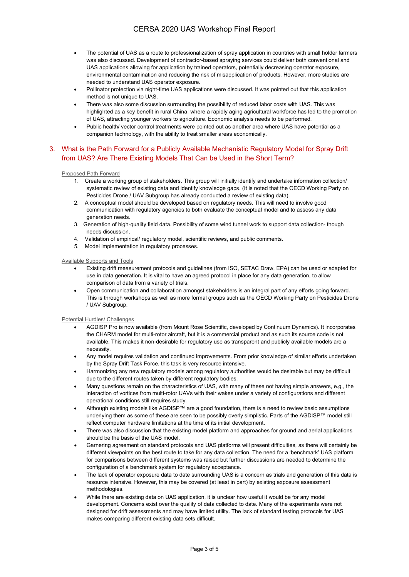- The potential of UAS as a route to professionalization of spray application in countries with small holder farmers was also discussed. Development of contractor-based spraying services could deliver both conventional and UAS applications allowing for application by trained operators, potentially decreasing operator exposure, environmental contamination and reducing the risk of misapplication of products. However, more studies are needed to understand UAS operator exposure.
- Pollinator protection via night-time UAS applications were discussed. It was pointed out that this application method is not unique to UAS.
- There was also some discussion surrounding the possibility of reduced labor costs with UAS. This was highlighted as a key benefit in rural China, where a rapidly aging agricultural workforce has led to the promotion of UAS, attracting younger workers to agriculture. Economic analysis needs to be performed.
- Public health/ vector control treatments were pointed out as another area where UAS have potential as a companion technology, with the ability to treat smaller areas economically.

## 3. What is the Path Forward for a Publicly Available Mechanistic Regulatory Model for Spray Drift from UAS? Are There Existing Models That Can be Used in the Short Term?

#### Proposed Path Forward

- 1. Create a working group of stakeholders. This group will initially identify and undertake information collection/ systematic review of existing data and identify knowledge gaps. (It is noted that the OECD Working Party on Pesticides Drone / UAV Subgroup has already conducted a review of existing data).
- 2. A conceptual model should be developed based on regulatory needs. This will need to involve good communication with regulatory agencies to both evaluate the conceptual model and to assess any data generation needs.
- 3. Generation of high-quality field data. Possibility of some wind tunnel work to support data collection- though needs discussion.
- 4. Validation of empirical/ regulatory model, scientific reviews, and public comments.
- 5. Model implementation in regulatory processes.

#### Available Supports and Tools

- Existing drift measurement protocols and guidelines (from ISO, SETAC Draw, EPA) can be used or adapted for use in data generation. It is vital to have an agreed protocol in place for any data generation, to allow comparison of data from a variety of trials.
- Open communication and collaboration amongst stakeholders is an integral part of any efforts going forward. This is through workshops as well as more formal groups such as the OECD Working Party on Pesticides Drone / UAV Subgroup.

#### Potential Hurdles/ Challenges

- AGDISP Pro is now available (from Mount Rose Scientific, developed by Continuum Dynamics). It incorporates the CHARM model for multi-rotor aircraft, but it is a commercial product and as such its source code is not available. This makes it non-desirable for regulatory use as transparent and publicly available models are a necessity.
- Any model requires validation and continued improvements. From prior knowledge of similar efforts undertaken by the Spray Drift Task Force, this task is very resource intensive.
- Harmonizing any new regulatory models among regulatory authorities would be desirable but may be difficult due to the different routes taken by different regulatory bodies.
- Many questions remain on the characteristics of UAS, with many of these not having simple answers, e.g., the interaction of vortices from multi-rotor UAVs with their wakes under a variety of configurations and different operational conditions still requires study.
- Although existing models like AGDISP™ are a good foundation, there is a need to review basic assumptions underlying them as some of these are seen to be possibly overly simplistic. Parts of the AGDISP™ model still reflect computer hardware limitations at the time of its initial development.
- There was also discussion that the existing model platform and approaches for ground and aerial applications should be the basis of the UAS model.
- Garnering agreement on standard protocols and UAS platforms will present difficulties, as there will certainly be different viewpoints on the best route to take for any data collection. The need for a 'benchmark' UAS platform for comparisons between different systems was raised but further discussions are needed to determine the configuration of a benchmark system for regulatory acceptance.
- The lack of operator exposure data to date surrounding UAS is a concern as trials and generation of this data is resource intensive. However, this may be covered (at least in part) by existing exposure assessment methodologies.
- While there are existing data on UAS application, it is unclear how useful it would be for any model development. Concerns exist over the quality of data collected to date. Many of the experiments were not designed for drift assessments and may have limited utility. The lack of standard testing protocols for UAS makes comparing different existing data sets difficult.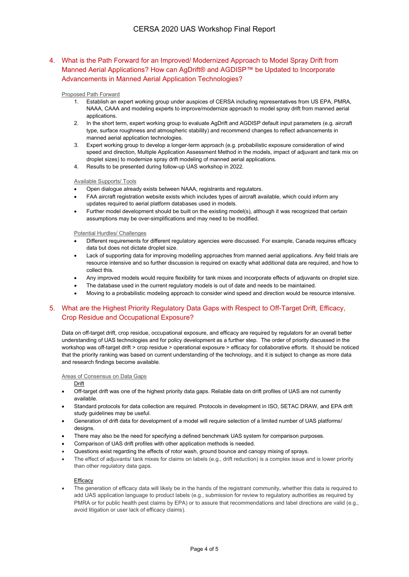## 4. What is the Path Forward for an Improved/ Modernized Approach to Model Spray Drift from Manned Aerial Applications? How can AgDrift® and AGDISP™ be Updated to Incorporate Advancements in Manned Aerial Application Technologies?

#### Proposed Path Forward

- 1. Establish an expert working group under auspices of CERSA including representatives from US EPA, PMRA, NAAA, CAAA and modeling experts to improve/modernize approach to model spray drift from manned aerial applications.
- 2. In the short term, expert working group to evaluate AgDrift and AGDISP default input parameters (e.g. aircraft type, surface roughness and atmospheric stability) and recommend changes to reflect advancements in manned aerial application technologies.
- 3. Expert working group to develop a longer-term approach (e.g. probabilistic exposure consideration of wind speed and direction, Multiple Application Assessment Method in the models, impact of adjuvant and tank mix on droplet sizes) to modernize spray drift modeling of manned aerial applications.
- 4. Results to be presented during follow-up UAS workshop in 2022.

#### Available Supports/ Tools

- Open dialogue already exists between NAAA, registrants and regulators.
- FAA aircraft registration website exists which includes types of aircraft available, which could inform any updates required to aerial platform databases used in models.
- Further model development should be built on the existing model(s), although it was recognized that certain assumptions may be over-simplifications and may need to be modified.

#### Potential Hurdles/ Challenges

- Different requirements for different regulatory agencies were discussed. For example, Canada requires efficacy data but does not dictate droplet size.
- Lack of supporting data for improving modelling approaches from manned aerial applications. Any field trials are resource intensive and so further discussion is required on exactly what additional data are required, and how to collect this.
- Any improved models would require flexibility for tank mixes and incorporate effects of adjuvants on droplet size.
- The database used in the current regulatory models is out of date and needs to be maintained.
- Moving to a probabilistic modeling approach to consider wind speed and direction would be resource intensive.

## 5. What are the Highest Priority Regulatory Data Gaps with Respect to Off-Target Drift, Efficacy, Crop Residue and Occupational Exposure?

Data on off-target drift, crop residue, occupational exposure, and efficacy are required by regulators for an overall better understanding of UAS technologies and for policy development as a further step. The order of priority discussed in the workshop was off-target drift > crop residue > operational exposure > efficacy for collaborative efforts. It should be noticed that the priority ranking was based on current understanding of the technology, and it is subject to change as more data and research findings become available.

#### Areas of Consensus on Data Gaps

**Drift** 

- Off-target drift was one of the highest priority data gaps. Reliable data on drift profiles of UAS are not currently available.
- Standard protocols for data collection are required. Protocols in development in ISO, SETAC DRAW, and EPA drift study guidelines may be useful.
- Generation of drift data for development of a model will require selection of a limited number of UAS platforms/ designs.
- There may also be the need for specifying a defined benchmark UAS system for comparison purposes.
- Comparison of UAS drift profiles with other application methods is needed.
- Questions exist regarding the effects of rotor wash, ground bounce and canopy mixing of sprays.
- The effect of adjuvants/ tank mixes for claims on labels (e.g., drift reduction) is a complex issue and is lower priority than other regulatory data gaps.

#### **Efficacy**

• The generation of efficacy data will likely be in the hands of the registrant community, whether this data is required to add UAS application language to product labels (e.g., submission for review to regulatory authorities as required by PMRA or for public health pest claims by EPA) or to assure that recommendations and label directions are valid (e.g., avoid litigation or user lack of efficacy claims).